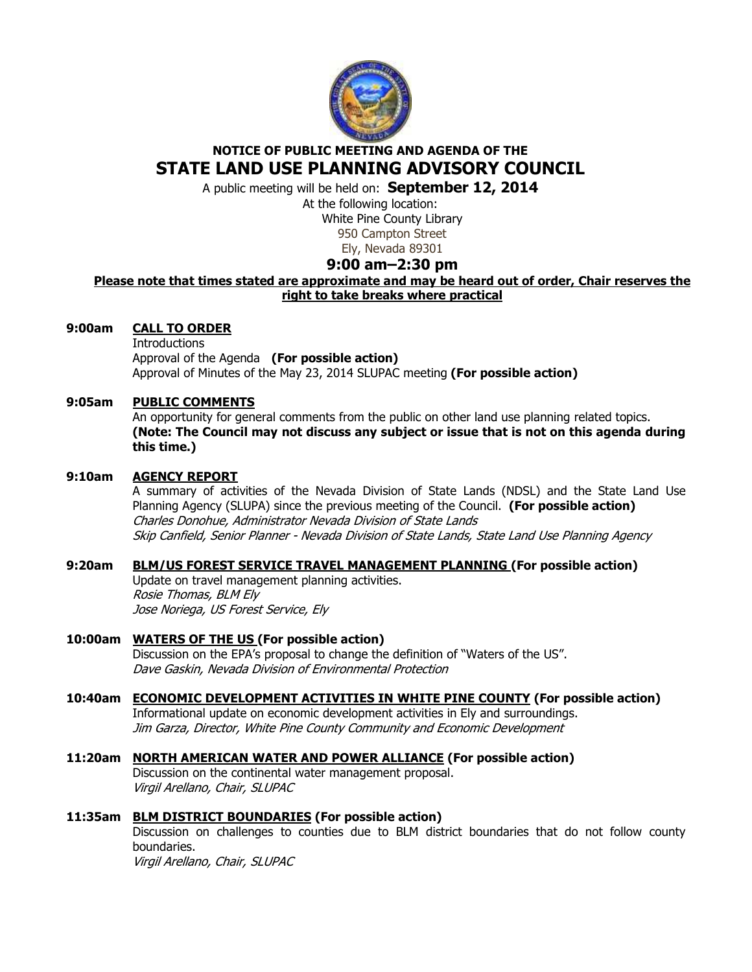

# **NOTICE OF PUBLIC MEETING AND AGENDA OF THE STATE LAND USE PLANNING ADVISORY COUNCIL**

A public meeting will be held on: **September 12, 2014** 

At the following location: White Pine County Library 950 Campton Street Ely, Nevada 89301

# **9:00 am–2:30 pm**

# **Please note that times stated are approximate and may be heard out of order, Chair reserves the right to take breaks where practical**

## **9:00am CALL TO ORDER**

**Introductions**  Approval of the Agenda **(For possible action)** Approval of Minutes of the May 23, 2014 SLUPAC meeting **(For possible action)** 

### **9:05am PUBLIC COMMENTS**

An opportunity for general comments from the public on other land use planning related topics. **(Note: The Council may not discuss any subject or issue that is not on this agenda during this time.)** 

### **9:10am AGENCY REPORT**

A summary of activities of the Nevada Division of State Lands (NDSL) and the State Land Use Planning Agency (SLUPA) since the previous meeting of the Council. **(For possible action)** Charles Donohue, Administrator Nevada Division of State Lands Skip Canfield, Senior Planner - Nevada Division of State Lands, State Land Use Planning Agency

### **9:20am BLM/US FOREST SERVICE TRAVEL MANAGEMENT PLANNING (For possible action)**

Update on travel management planning activities. Rosie Thomas, BLM Ely Jose Noriega, US Forest Service, Ely

### **10:00am WATERS OF THE US (For possible action)**  Discussion on the EPA's proposal to change the definition of "Waters of the US". Dave Gaskin, Nevada Division of Environmental Protection

# **10:40am ECONOMIC DEVELOPMENT ACTIVITIES IN WHITE PINE COUNTY (For possible action)**

 Informational update on economic development activities in Ely and surroundings. Jim Garza, Director, White Pine County Community and Economic Development

# **11:20am NORTH AMERICAN WATER AND POWER ALLIANCE (For possible action)**

Discussion on the continental water management proposal. Virgil Arellano, Chair, SLUPAC

### **11:35am BLM DISTRICT BOUNDARIES (For possible action)**

Discussion on challenges to counties due to BLM district boundaries that do not follow county boundaries.

Virgil Arellano, Chair, SLUPAC